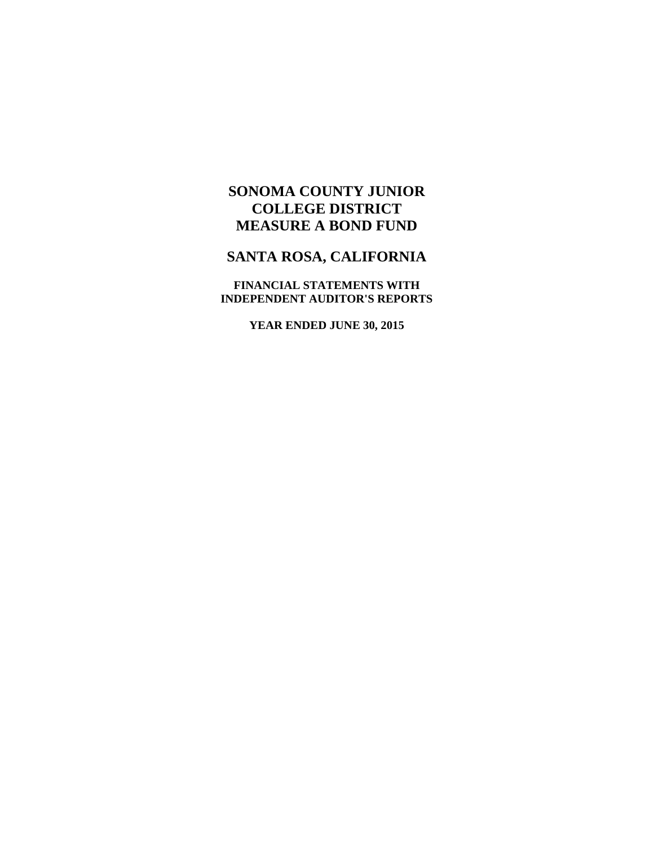# **SANTA ROSA, CALIFORNIA**

**FINANCIAL STATEMENTS WITH INDEPENDENT AUDITOR'S REPORTS**

**YEAR ENDED JUNE 30, 2015**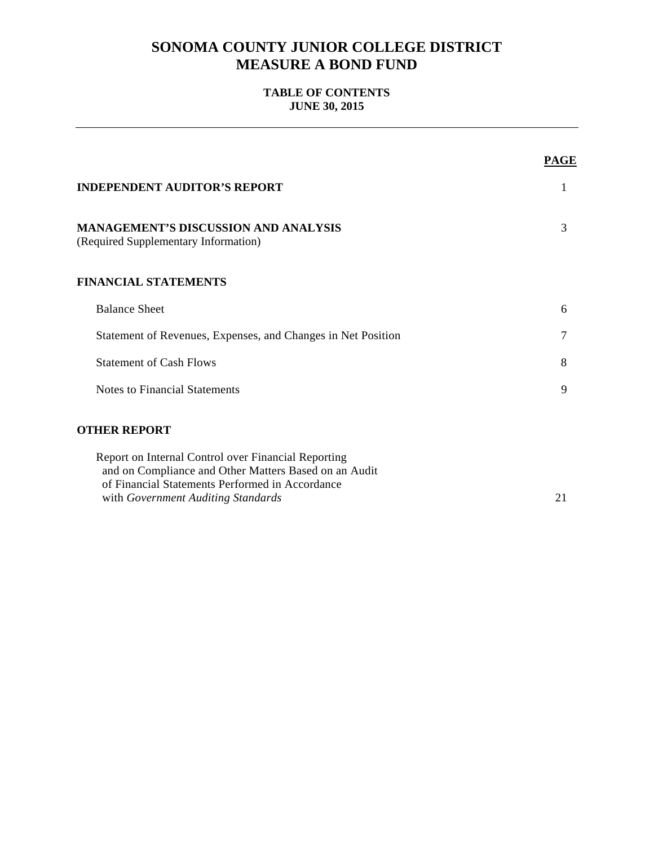### **TABLE OF CONTENTS JUNE 30, 2015**

|                                                                                                                                                                                                       | PAGE |
|-------------------------------------------------------------------------------------------------------------------------------------------------------------------------------------------------------|------|
| <b>INDEPENDENT AUDITOR'S REPORT</b>                                                                                                                                                                   | 1    |
| <b>MANAGEMENT'S DISCUSSION AND ANALYSIS</b><br>(Required Supplementary Information)                                                                                                                   | 3    |
| <b>FINANCIAL STATEMENTS</b>                                                                                                                                                                           |      |
| <b>Balance Sheet</b>                                                                                                                                                                                  | 6    |
| Statement of Revenues, Expenses, and Changes in Net Position                                                                                                                                          | 7    |
| <b>Statement of Cash Flows</b>                                                                                                                                                                        | 8    |
| <b>Notes to Financial Statements</b>                                                                                                                                                                  | 9    |
| <b>OTHER REPORT</b>                                                                                                                                                                                   |      |
| Report on Internal Control over Financial Reporting<br>and on Compliance and Other Matters Based on an Audit<br>of Financial Statements Performed in Accordance<br>with Government Auditing Standards | 21   |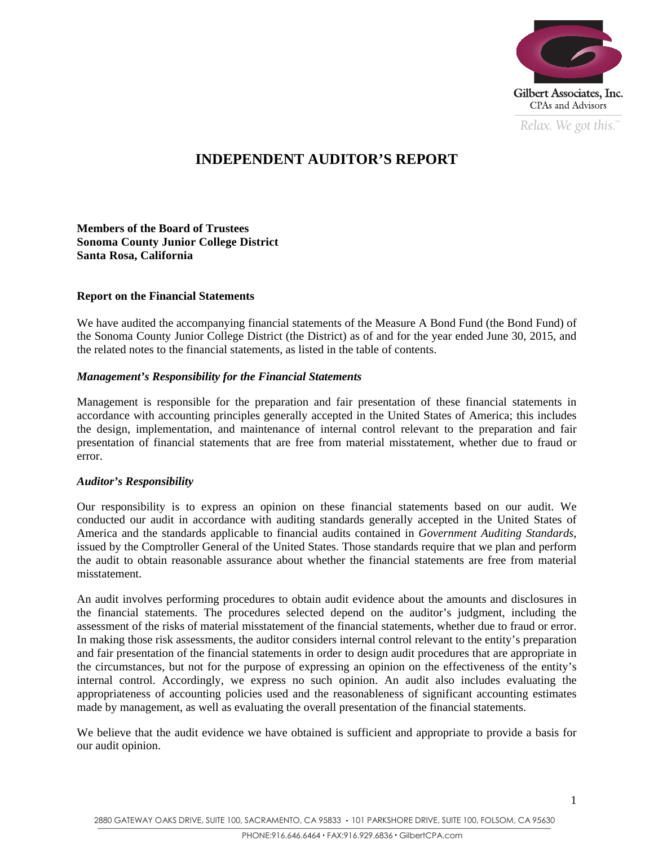

*Relax. We got this.*  $\alpha$ 

### **INDEPENDENT AUDITOR'S REPORT**

**Members of the Board of Trustees Sonoma County Junior College District Santa Rosa, California** 

#### **Report on the Financial Statements**

We have audited the accompanying financial statements of the Measure A Bond Fund (the Bond Fund) of the Sonoma County Junior College District (the District) as of and for the year ended June 30, 2015, and the related notes to the financial statements, as listed in the table of contents.

#### *Management's Responsibility for the Financial Statements*

Management is responsible for the preparation and fair presentation of these financial statements in accordance with accounting principles generally accepted in the United States of America; this includes the design, implementation, and maintenance of internal control relevant to the preparation and fair presentation of financial statements that are free from material misstatement, whether due to fraud or error.

#### *Auditor's Responsibility*

Our responsibility is to express an opinion on these financial statements based on our audit. We conducted our audit in accordance with auditing standards generally accepted in the United States of America and the standards applicable to financial audits contained in *Government Auditing Standards*, issued by the Comptroller General of the United States. Those standards require that we plan and perform the audit to obtain reasonable assurance about whether the financial statements are free from material misstatement.

An audit involves performing procedures to obtain audit evidence about the amounts and disclosures in the financial statements. The procedures selected depend on the auditor's judgment, including the assessment of the risks of material misstatement of the financial statements, whether due to fraud or error. In making those risk assessments, the auditor considers internal control relevant to the entity's preparation and fair presentation of the financial statements in order to design audit procedures that are appropriate in the circumstances, but not for the purpose of expressing an opinion on the effectiveness of the entity's internal control. Accordingly, we express no such opinion. An audit also includes evaluating the appropriateness of accounting policies used and the reasonableness of significant accounting estimates made by management, as well as evaluating the overall presentation of the financial statements.

We believe that the audit evidence we have obtained is sufficient and appropriate to provide a basis for our audit opinion.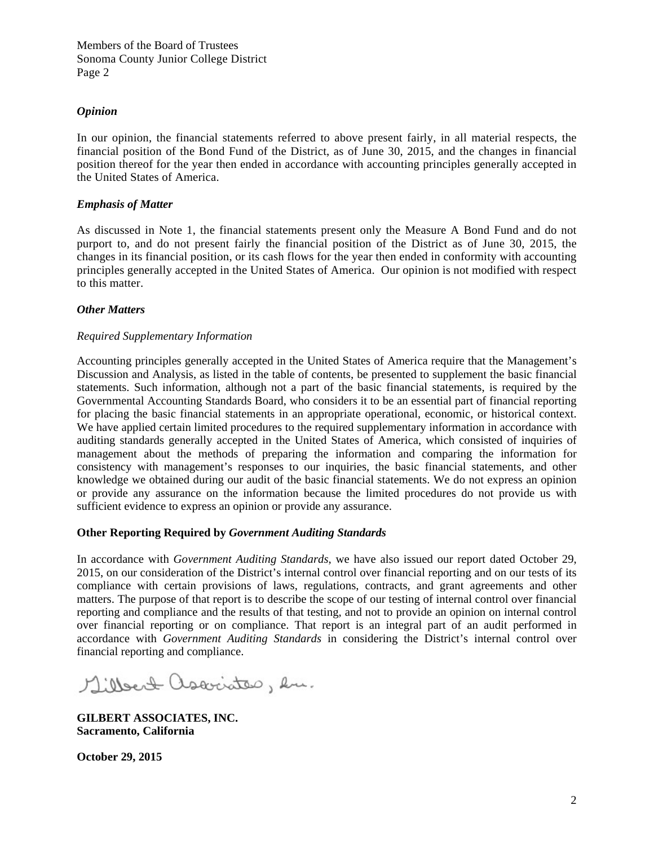Members of the Board of Trustees Sonoma County Junior College District Page 2

### *Opinion*

In our opinion, the financial statements referred to above present fairly, in all material respects, the financial position of the Bond Fund of the District, as of June 30, 2015, and the changes in financial position thereof for the year then ended in accordance with accounting principles generally accepted in the United States of America.

#### *Emphasis of Matter*

As discussed in Note 1, the financial statements present only the Measure A Bond Fund and do not purport to, and do not present fairly the financial position of the District as of June 30, 2015, the changes in its financial position, or its cash flows for the year then ended in conformity with accounting principles generally accepted in the United States of America. Our opinion is not modified with respect to this matter.

#### *Other Matters*

#### *Required Supplementary Information*

Accounting principles generally accepted in the United States of America require that the Management's Discussion and Analysis, as listed in the table of contents, be presented to supplement the basic financial statements. Such information, although not a part of the basic financial statements, is required by the Governmental Accounting Standards Board, who considers it to be an essential part of financial reporting for placing the basic financial statements in an appropriate operational, economic, or historical context. We have applied certain limited procedures to the required supplementary information in accordance with auditing standards generally accepted in the United States of America, which consisted of inquiries of management about the methods of preparing the information and comparing the information for consistency with management's responses to our inquiries, the basic financial statements, and other knowledge we obtained during our audit of the basic financial statements. We do not express an opinion or provide any assurance on the information because the limited procedures do not provide us with sufficient evidence to express an opinion or provide any assurance.

#### **Other Reporting Required by** *Government Auditing Standards*

In accordance with *Government Auditing Standards*, we have also issued our report dated October 29, 2015, on our consideration of the District's internal control over financial reporting and on our tests of its compliance with certain provisions of laws, regulations, contracts, and grant agreements and other matters. The purpose of that report is to describe the scope of our testing of internal control over financial reporting and compliance and the results of that testing, and not to provide an opinion on internal control over financial reporting or on compliance. That report is an integral part of an audit performed in accordance with *Government Auditing Standards* in considering the District's internal control over financial reporting and compliance.

Millert associates, hu.

**GILBERT ASSOCIATES, INC. Sacramento, California** 

**October 29, 2015**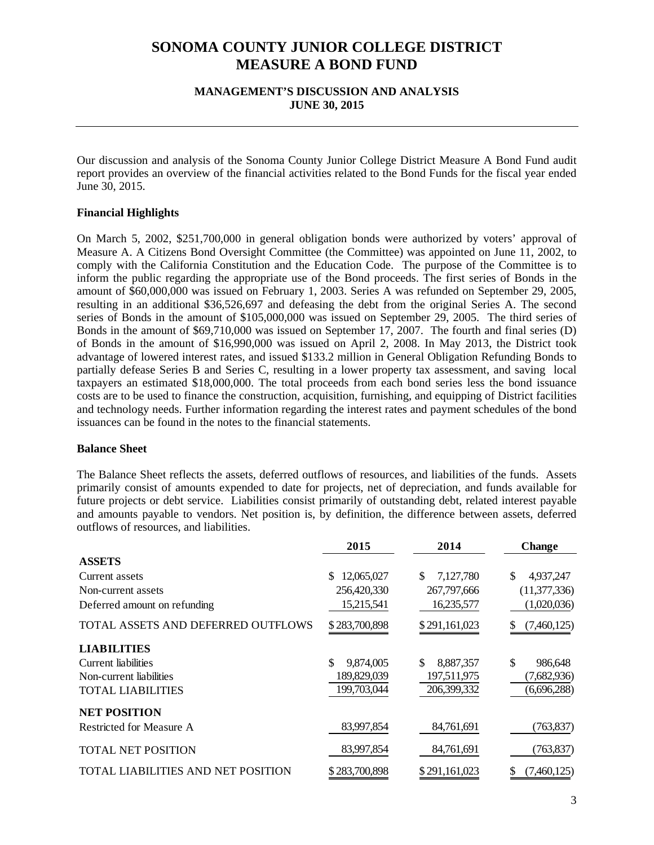### **MANAGEMENT'S DISCUSSION AND ANALYSIS JUNE 30, 2015**

Our discussion and analysis of the Sonoma County Junior College District Measure A Bond Fund audit report provides an overview of the financial activities related to the Bond Funds for the fiscal year ended June 30, 2015.

#### **Financial Highlights**

On March 5, 2002, \$251,700,000 in general obligation bonds were authorized by voters' approval of Measure A. A Citizens Bond Oversight Committee (the Committee) was appointed on June 11, 2002, to comply with the California Constitution and the Education Code. The purpose of the Committee is to inform the public regarding the appropriate use of the Bond proceeds. The first series of Bonds in the amount of \$60,000,000 was issued on February 1, 2003. Series A was refunded on September 29, 2005, resulting in an additional \$36,526,697 and defeasing the debt from the original Series A. The second series of Bonds in the amount of \$105,000,000 was issued on September 29, 2005. The third series of Bonds in the amount of \$69,710,000 was issued on September 17, 2007. The fourth and final series (D) of Bonds in the amount of \$16,990,000 was issued on April 2, 2008. In May 2013, the District took advantage of lowered interest rates, and issued \$133.2 million in General Obligation Refunding Bonds to partially defease Series B and Series C, resulting in a lower property tax assessment, and saving local taxpayers an estimated \$18,000,000. The total proceeds from each bond series less the bond issuance costs are to be used to finance the construction, acquisition, furnishing, and equipping of District facilities and technology needs. Further information regarding the interest rates and payment schedules of the bond issuances can be found in the notes to the financial statements.

#### **Balance Sheet**

The Balance Sheet reflects the assets, deferred outflows of resources, and liabilities of the funds. Assets primarily consist of amounts expended to date for projects, net of depreciation, and funds available for future projects or debt service. Liabilities consist primarily of outstanding debt, related interest payable and amounts payable to vendors. Net position is, by definition, the difference between assets, deferred outflows of resources, and liabilities.

|                                    | 2015             | 2014            | <b>Change</b>    |  |  |
|------------------------------------|------------------|-----------------|------------------|--|--|
| <b>ASSETS</b>                      |                  |                 |                  |  |  |
| Current assets                     | 12,065,027<br>S. | \$<br>7,127,780 | \$<br>4,937,247  |  |  |
| Non-current assets                 | 256,420,330      | 267, 797, 666   | (11,377,336)     |  |  |
| Deferred amount on refunding       | 15,215,541       | 16,235,577      | (1,020,036)      |  |  |
| TOTAL ASSETS AND DEFERRED OUTFLOWS | \$283,700,898    | \$291,161,023   | (7,460,125)      |  |  |
| <b>LIABILITIES</b>                 |                  |                 |                  |  |  |
| Current liabilities                | \$<br>9,874,005  | \$<br>8,887,357 | \$<br>986,648    |  |  |
| Non-current liabilities            | 189,829,039      | 197,511,975     | (7,682,936)      |  |  |
| <b>TOTAL LIABILITIES</b>           | 199,703,044      | 206,399,332     | (6,696,288)      |  |  |
| <b>NET POSITION</b>                |                  |                 |                  |  |  |
| Restricted for Measure A           | 83,997,854       | 84,761,691      | (763, 837)       |  |  |
| <b>TOTAL NET POSITION</b>          | 83,997,854       | 84,761,691      | (763, 837)       |  |  |
| TOTAL LIABILITIES AND NET POSITION | \$283,700,898    | \$291,161,023   | (7,460,125)<br>S |  |  |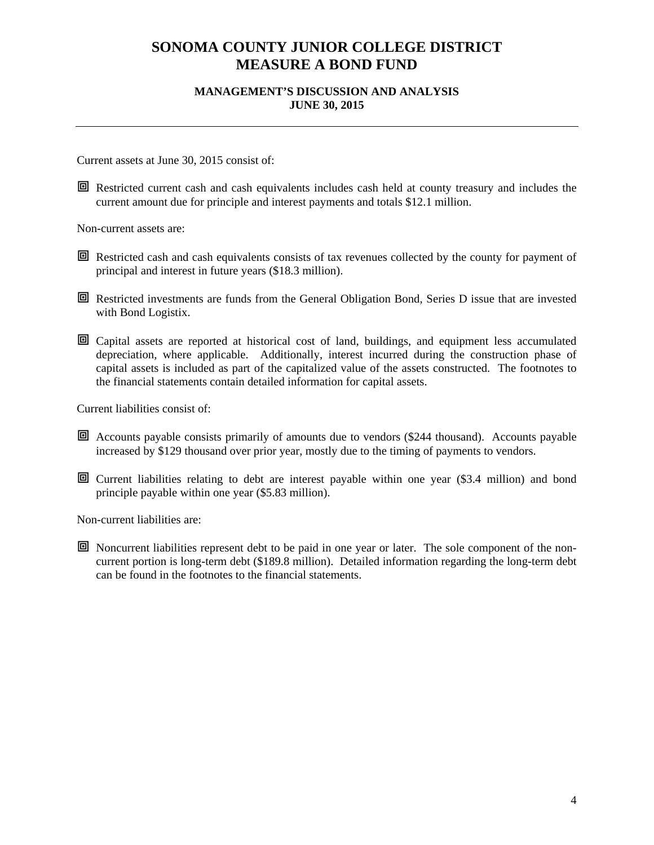### **MANAGEMENT'S DISCUSSION AND ANALYSIS JUNE 30, 2015**

Current assets at June 30, 2015 consist of:

 Restricted current cash and cash equivalents includes cash held at county treasury and includes the current amount due for principle and interest payments and totals \$12.1 million.

Non-current assets are:

- Restricted cash and cash equivalents consists of tax revenues collected by the county for payment of principal and interest in future years (\$18.3 million).
- Restricted investments are funds from the General Obligation Bond, Series D issue that are invested with Bond Logistix.
- Capital assets are reported at historical cost of land, buildings, and equipment less accumulated depreciation, where applicable. Additionally, interest incurred during the construction phase of capital assets is included as part of the capitalized value of the assets constructed. The footnotes to the financial statements contain detailed information for capital assets.

Current liabilities consist of:

- Accounts payable consists primarily of amounts due to vendors (\$244 thousand). Accounts payable increased by \$129 thousand over prior year, mostly due to the timing of payments to vendors.
- Current liabilities relating to debt are interest payable within one year (\$3.4 million) and bond principle payable within one year (\$5.83 million).

Non-current liabilities are:

 Noncurrent liabilities represent debt to be paid in one year or later. The sole component of the noncurrent portion is long-term debt (\$189.8 million). Detailed information regarding the long-term debt can be found in the footnotes to the financial statements.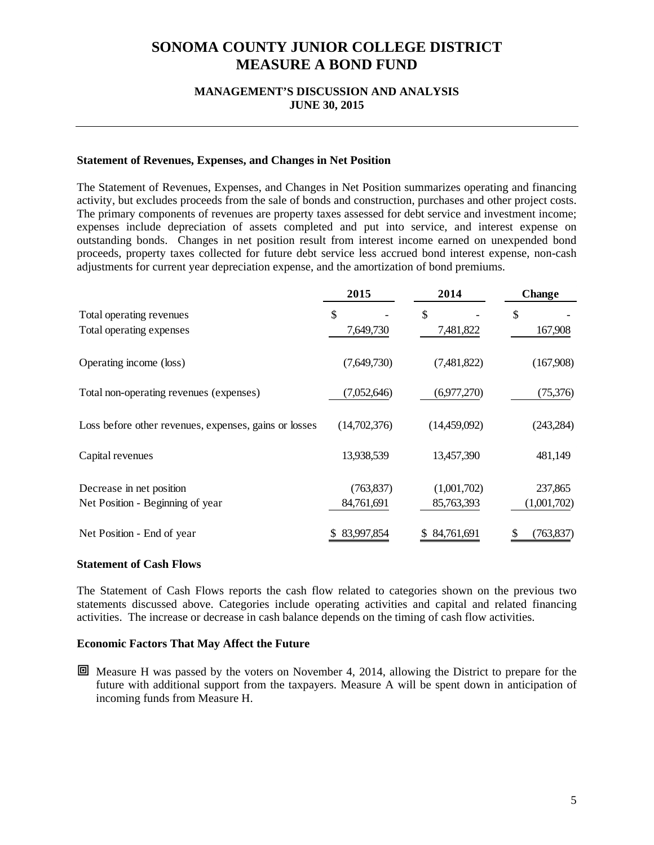### **MANAGEMENT'S DISCUSSION AND ANALYSIS JUNE 30, 2015**

#### **Statement of Revenues, Expenses, and Changes in Net Position**

activity, but excludes proceeds from the sale of bonds and construction, purchases and other project costs. The Statement of Revenues, Expenses, and Changes in Net Position summarizes operating and financing The primary components of revenues are property taxes assessed for debt service and investment income; expenses include depreciation of assets completed and put into service, and interest expense on outstanding bonds. Changes in net position result from interest income earned on unexpended bond proceeds, property taxes collected for future debt service less accrued bond interest expense, non-cash adjustments for current year depreciation expense, and the amortization of bond premiums.

|                                                       | 2015         | 2014         | <b>Change</b> |
|-------------------------------------------------------|--------------|--------------|---------------|
| Total operating revenues                              | \$           | \$           | \$            |
| Total operating expenses                              | 7,649,730    | 7,481,822    | 167,908       |
| Operating income (loss)                               | (7,649,730)  | (7,481,822)  | (167,908)     |
| Total non-operating revenues (expenses)               | (7,052,646)  | (6,977,270)  | (75,376)      |
| Loss before other revenues, expenses, gains or losses | (14,702,376) | (14,459,092) | (243, 284)    |
| Capital revenues                                      | 13,938,539   | 13,457,390   | 481,149       |
| Decrease in net position                              | (763, 837)   | (1,001,702)  | 237,865       |
| Net Position - Beginning of year                      | 84,761,691   | 85,763,393   | (1,001,702)   |
| Net Position - End of year                            | 83,997,854   | 84,761,691   | (763, 837)    |

### **Statement of Cash Flows**

The Statement of Cash Flows reports the cash flow related to categories shown on the previous two statements discussed above. Categories include operating activities and capital and related financing activities. The increase or decrease in cash balance depends on the timing of cash flow activities.

### **Economic Factors That May Affect the Future**

 Measure H was passed by the voters on November 4, 2014, allowing the District to prepare for the future with additional support from the taxpayers. Measure A will be spent down in anticipation of incoming funds from Measure H.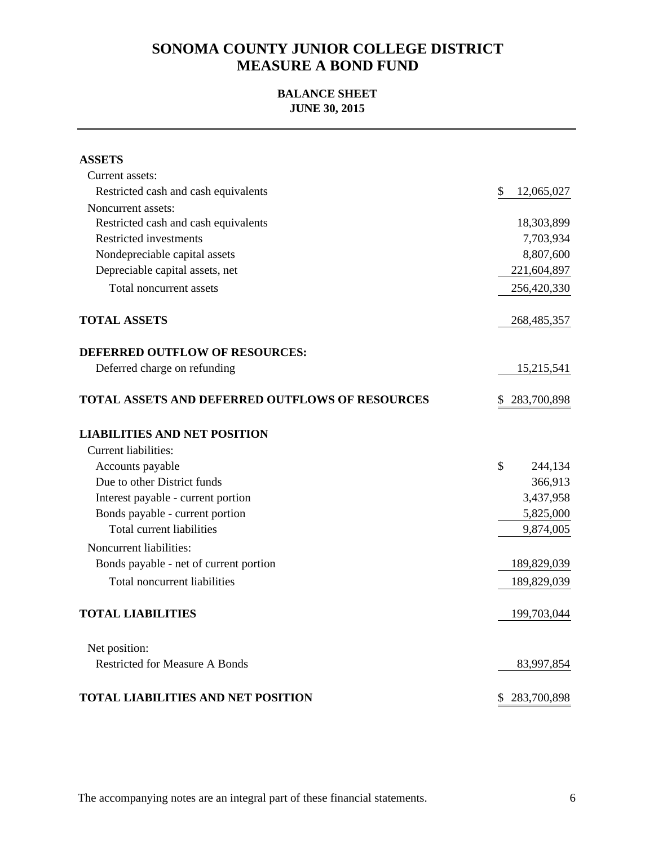### **BALANCE SHEET JUNE 30, 2015**

| <b>ASSETS</b>                                          |                          |
|--------------------------------------------------------|--------------------------|
| Current assets:                                        |                          |
| Restricted cash and cash equivalents                   | \$<br>12,065,027         |
| Noncurrent assets:                                     |                          |
| Restricted cash and cash equivalents                   | 18,303,899               |
| Restricted investments                                 | 7,703,934                |
| Nondepreciable capital assets                          | 8,807,600                |
| Depreciable capital assets, net                        | 221,604,897              |
| Total noncurrent assets                                | 256,420,330              |
| <b>TOTAL ASSETS</b>                                    | 268,485,357              |
| DEFERRED OUTFLOW OF RESOURCES:                         |                          |
| Deferred charge on refunding                           | 15,215,541               |
| <b>TOTAL ASSETS AND DEFERRED OUTFLOWS OF RESOURCES</b> | 283,700,898              |
| <b>LIABILITIES AND NET POSITION</b>                    |                          |
| <b>Current liabilities:</b>                            |                          |
| Accounts payable                                       | $\mathcal{S}$<br>244,134 |
| Due to other District funds                            | 366,913                  |
| Interest payable - current portion                     | 3,437,958                |
| Bonds payable - current portion                        | 5,825,000                |
| Total current liabilities                              | 9,874,005                |
| Noncurrent liabilities:                                |                          |
| Bonds payable - net of current portion                 | 189,829,039              |
| Total noncurrent liabilities                           | 189,829,039              |
| <b>TOTAL LIABILITIES</b>                               | 199,703,044              |
| Net position:                                          |                          |
| <b>Restricted for Measure A Bonds</b>                  | 83,997,854               |
| <b>TOTAL LIABILITIES AND NET POSITION</b>              | \$283,700,898            |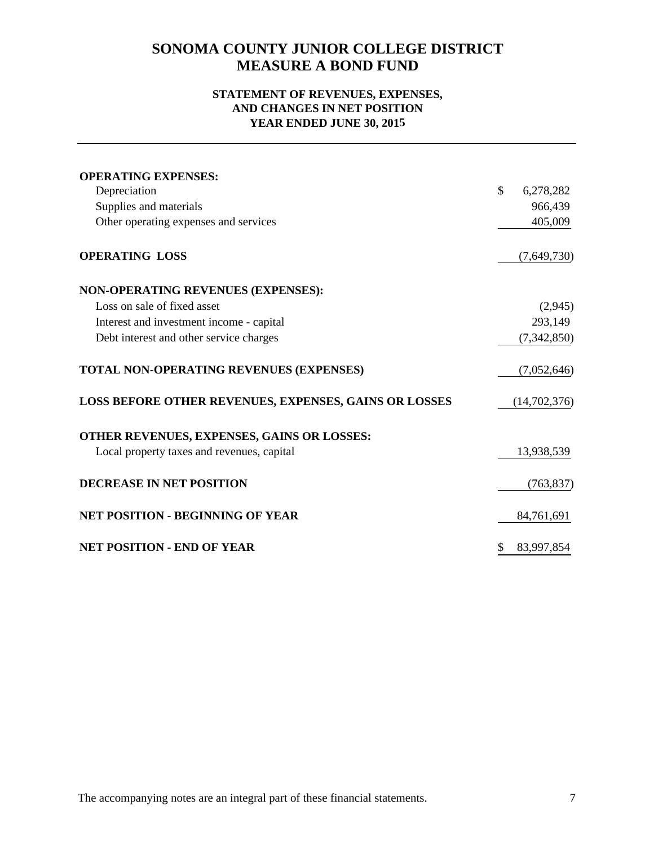### **STATEMENT OF REVENUES, EXPENSES, AND CHANGES IN NET POSITION YEAR ENDED JUNE 30, 2015**

| <b>OPERATING EXPENSES:</b>                            |               |              |
|-------------------------------------------------------|---------------|--------------|
| Depreciation                                          | $\mathcal{S}$ | 6,278,282    |
| Supplies and materials                                |               | 966,439      |
| Other operating expenses and services                 |               | 405,009      |
| <b>OPERATING LOSS</b>                                 |               | (7,649,730)  |
| NON-OPERATING REVENUES (EXPENSES):                    |               |              |
| Loss on sale of fixed asset                           |               | (2,945)      |
| Interest and investment income - capital              |               | 293,149      |
| Debt interest and other service charges               |               | (7,342,850)  |
| TOTAL NON-OPERATING REVENUES (EXPENSES)               |               | (7,052,646)  |
| LOSS BEFORE OTHER REVENUES, EXPENSES, GAINS OR LOSSES |               | (14,702,376) |
| OTHER REVENUES, EXPENSES, GAINS OR LOSSES:            |               |              |
| Local property taxes and revenues, capital            |               | 13,938,539   |
| <b>DECREASE IN NET POSITION</b>                       |               | (763, 837)   |
| <b>NET POSITION - BEGINNING OF YEAR</b>               |               | 84,761,691   |
| <b>NET POSITION - END OF YEAR</b>                     |               | 83,997,854   |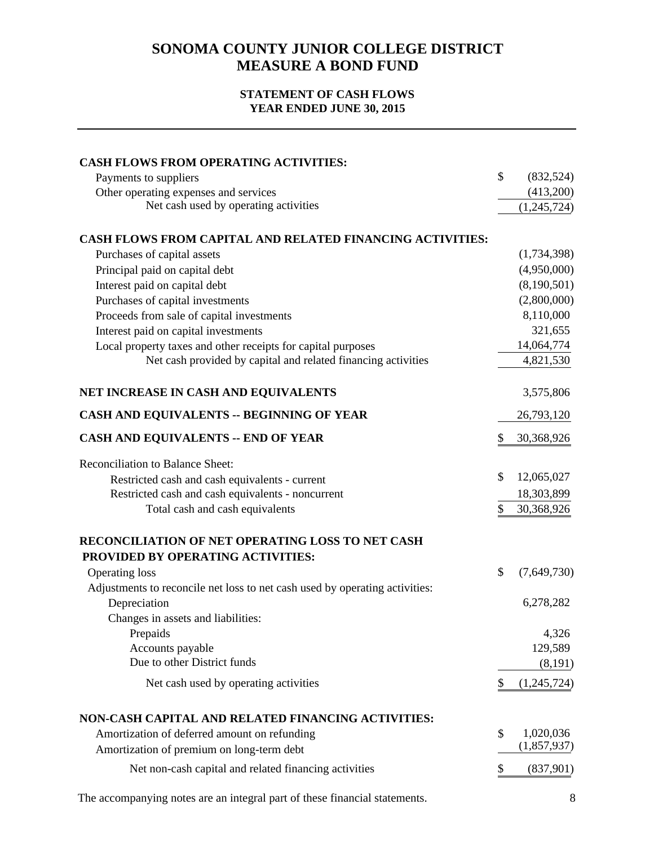### **STATEMENT OF CASH FLOWS YEAR ENDED JUNE 30, 2015**

| <b>CASH FLOWS FROM OPERATING ACTIVITIES:</b>                                |                   |
|-----------------------------------------------------------------------------|-------------------|
| Payments to suppliers                                                       | \$<br>(832, 524)  |
| Other operating expenses and services                                       | (413,200)         |
| Net cash used by operating activities                                       | (1,245,724)       |
| <b>CASH FLOWS FROM CAPITAL AND RELATED FINANCING ACTIVITIES:</b>            |                   |
| Purchases of capital assets                                                 | (1,734,398)       |
| Principal paid on capital debt                                              | (4,950,000)       |
| Interest paid on capital debt                                               | (8,190,501)       |
| Purchases of capital investments                                            | (2,800,000)       |
| Proceeds from sale of capital investments                                   | 8,110,000         |
| Interest paid on capital investments                                        | 321,655           |
| Local property taxes and other receipts for capital purposes                | 14,064,774        |
| Net cash provided by capital and related financing activities               | 4,821,530         |
| NET INCREASE IN CASH AND EQUIVALENTS                                        | 3,575,806         |
| CASH AND EQUIVALENTS -- BEGINNING OF YEAR                                   | 26,793,120        |
| <b>CASH AND EQUIVALENTS -- END OF YEAR</b>                                  | \$<br>30,368,926  |
| <b>Reconciliation to Balance Sheet:</b>                                     |                   |
| Restricted cash and cash equivalents - current                              | \$<br>12,065,027  |
| Restricted cash and cash equivalents - noncurrent                           | 18,303,899        |
| Total cash and cash equivalents                                             | 30,368,926        |
| RECONCILIATION OF NET OPERATING LOSS TO NET CASH                            |                   |
| PROVIDED BY OPERATING ACTIVITIES:                                           |                   |
| <b>Operating loss</b>                                                       | \$<br>(7,649,730) |
| Adjustments to reconcile net loss to net cash used by operating activities: |                   |
| Depreciation                                                                | 6,278,282         |
| Changes in assets and liabilities:                                          |                   |
| Prepaids                                                                    | 4,326             |
| Accounts payable                                                            | 129,589           |
| Due to other District funds                                                 | (8,191)           |
| Net cash used by operating activities                                       | \$<br>(1,245,724) |
| NON-CASH CAPITAL AND RELATED FINANCING ACTIVITIES:                          |                   |
| Amortization of deferred amount on refunding                                | \$<br>1,020,036   |
| Amortization of premium on long-term debt                                   | (1,857,937)       |
| Net non-cash capital and related financing activities                       | \$<br>(837,901)   |
|                                                                             |                   |

The accompanying notes are an integral part of these financial statements. 8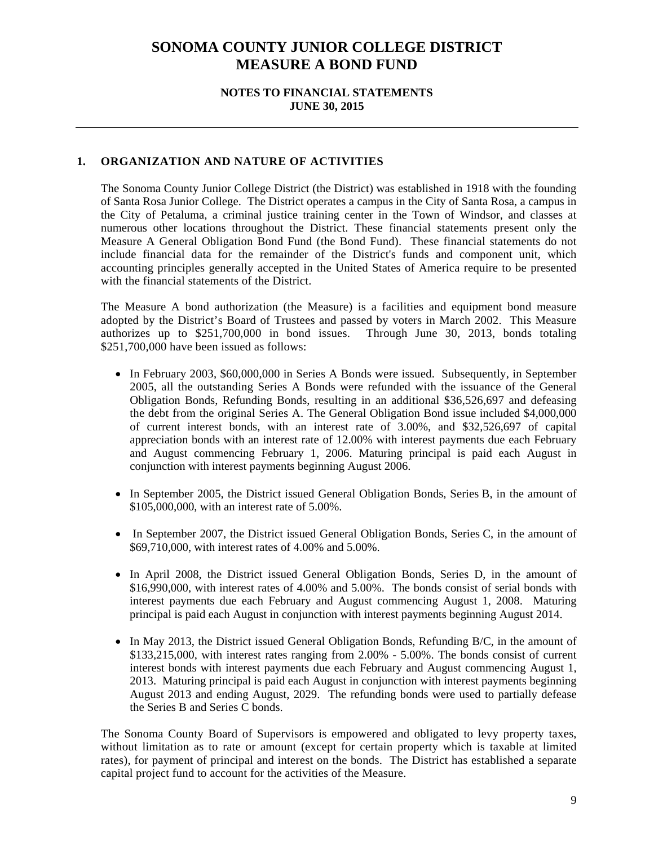### **NOTES TO FINANCIAL STATEMENTS JUNE 30, 2015**

### **1. ORGANIZATION AND NATURE OF ACTIVITIES**

 numerous other locations throughout the District. These financial statements present only the The Sonoma County Junior College District (the District) was established in 1918 with the founding of Santa Rosa Junior College. The District operates a campus in the City of Santa Rosa, a campus in the City of Petaluma, a criminal justice training center in the Town of Windsor, and classes at Measure A General Obligation Bond Fund (the Bond Fund). These financial statements do not include financial data for the remainder of the District's funds and component unit, which accounting principles generally accepted in the United States of America require to be presented with the financial statements of the District.

The Measure A bond authorization (the Measure) is a facilities and equipment bond measure adopted by the District's Board of Trustees and passed by voters in March 2002. This Measure authorizes up to \$251,700,000 in bond issues. Through June 30, 2013, bonds totaling \$251,700,000 have been issued as follows:

- In February 2003, \$60,000,000 in Series A Bonds were issued. Subsequently, in September 2005, all the outstanding Series A Bonds were refunded with the issuance of the General Obligation Bonds, Refunding Bonds, resulting in an additional \$36,526,697 and defeasing the debt from the original Series A. The General Obligation Bond issue included \$4,000,000 of current interest bonds, with an interest rate of 3.00%, and \$32,526,697 of capital appreciation bonds with an interest rate of 12.00% with interest payments due each February and August commencing February 1, 2006. Maturing principal is paid each August in conjunction with interest payments beginning August 2006.
- In September 2005, the District issued General Obligation Bonds, Series B, in the amount of \$105,000,000, with an interest rate of 5.00%.
- \$69,710,000, with interest rates of 4.00% and 5.00%. • In September 2007, the District issued General Obligation Bonds, Series C, in the amount of
- In April 2008, the District issued General Obligation Bonds, Series D, in the amount of \$16,990,000, with interest rates of 4,00% and 5.00%. The bonds consist of serial bonds with interest payments due each February and August commencing August 1, 2008. Maturing principal is paid each August in conjunction with interest payments beginning August 2014.
- In May 2013, the District issued General Obligation Bonds, Refunding B/C, in the amount of \$133,215,000, with interest rates ranging from 2.00% - 5.00%. The bonds consist of current interest bonds with interest payments due each February and August commencing August 1, 2013. Maturing principal is paid each August in conjunction with interest payments beginning August 2013 and ending August, 2029. The refunding bonds were used to partially defease the Series B and Series C bonds.

 The Sonoma County Board of Supervisors is empowered and obligated to levy property taxes, without limitation as to rate or amount (except for certain property which is taxable at limited rates), for payment of principal and interest on the bonds. The District has established a separate capital project fund to account for the activities of the Measure.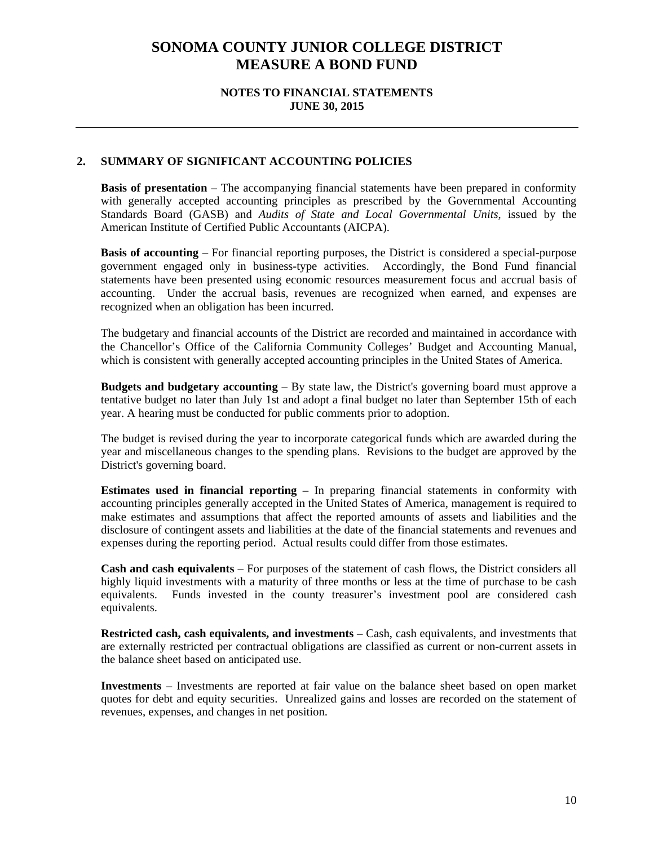#### **NOTES TO FINANCIAL STATEMENTS JUNE 30, 2015**

### **2. SUMMARY OF SIGNIFICANT ACCOUNTING POLICIES**

**Basis of presentation** – The accompanying financial statements have been prepared in conformity with generally accepted accounting principles as prescribed by the Governmental Accounting Standards Board (GASB) and *Audits of State and Local Governmental Units*, issued by the American Institute of Certified Public Accountants (AICPA).

**Basis of accounting** – For financial reporting purposes, the District is considered a special-purpose government engaged only in business-type activities. Accordingly, the Bond Fund financial statements have been presented using economic resources measurement focus and accrual basis of accounting. Under the accrual basis, revenues are recognized when earned, and expenses are recognized when an obligation has been incurred.

The budgetary and financial accounts of the District are recorded and maintained in accordance with the Chancellor's Office of the California Community Colleges' Budget and Accounting Manual, which is consistent with generally accepted accounting principles in the United States of America.

year. A hearing must be conducted for public comments prior to adoption. **Budgets and budgetary accounting – By state law, the District's governing board must approve a** tentative budget no later than July 1st and adopt a final budget no later than September 15th of each

The budget is revised during the year to incorporate categorical funds which are awarded during the year and miscellaneous changes to the spending plans. Revisions to the budget are approved by the District's governing board.

**Estimates used in financial reporting** – In preparing financial statements in conformity with accounting principles generally accepted in the United States of America, management is required to make estimates and assumptions that affect the reported amounts of assets and liabilities and the disclosure of contingent assets and liabilities at the date of the financial statements and revenues and expenses during the reporting period. Actual results could differ from those estimates.

**Cash and cash equivalents** – For purposes of the statement of cash flows, the District considers all highly liquid investments with a maturity of three months or less at the time of purchase to be cash equivalents. Funds invested in the county treasurer's investment pool are considered cash equivalents.

**Restricted cash, cash equivalents, and investments** – Cash, cash equivalents, and investments that are externally restricted per contractual obligations are classified as current or non-current assets in the balance sheet based on anticipated use.

**Investments** – Investments are reported at fair value on the balance sheet based on open market quotes for debt and equity securities. Unrealized gains and losses are recorded on the statement of revenues, expenses, and changes in net position.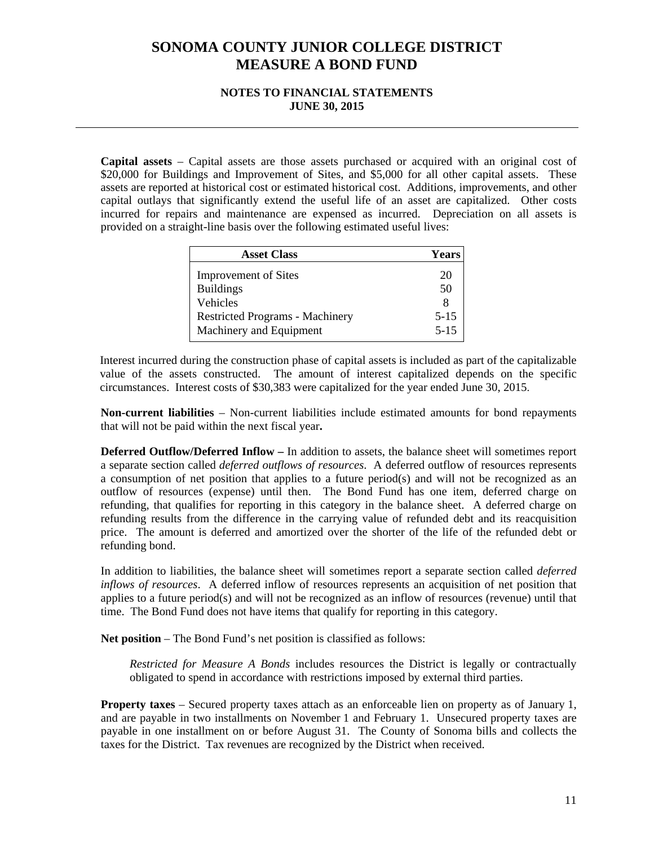### **NOTES TO FINANCIAL STATEMENTS JUNE 30, 2015**

**Capital assets** – Capital assets are those assets purchased or acquired with an original cost of \$20,000 for Buildings and Improvement of Sites, and \$5,000 for all other capital assets. These assets are reported at historical cost or estimated historical cost. Additions, improvements, and other capital outlays that significantly extend the useful life of an asset are capitalized. Other costs incurred for repairs and maintenance are expensed as incurred. Depreciation on all assets is provided on a straight-line basis over the following estimated useful lives:

| <b>Asset Class</b>                     | <b>Years</b> |
|----------------------------------------|--------------|
| <b>Improvement of Sites</b>            | 20           |
| <b>Buildings</b>                       | 50           |
| Vehicles                               | 8            |
| <b>Restricted Programs - Machinery</b> | $5 - 15$     |
| Machinery and Equipment                | $5 - 15$     |

Interest incurred during the construction phase of capital assets is included as part of the capitalizable value of the assets constructed. The amount of interest capitalized depends on the specific circumstances. Interest costs of \$30,383 were capitalized for the year ended June 30, 2015.

**Non-current liabilities** – Non-current liabilities include estimated amounts for bond repayments that will not be paid within the next fiscal year**.** 

**Deferred Outflow/Deferred Inflow –** In addition to assets, the balance sheet will sometimes report a separate section called *deferred outflows of resources*. A deferred outflow of resources represents a consumption of net position that applies to a future period(s) and will not be recognized as an outflow of resources (expense) until then. The Bond Fund has one item, deferred charge on refunding, that qualifies for reporting in this category in the balance sheet. A deferred charge on refunding results from the difference in the carrying value of refunded debt and its reacquisition price. The amount is deferred and amortized over the shorter of the life of the refunded debt or refunding bond.

In addition to liabilities, the balance sheet will sometimes report a separate section called *deferred inflows of resources*. A deferred inflow of resources represents an acquisition of net position that applies to a future period(s) and will not be recognized as an inflow of resources (revenue) until that time. The Bond Fund does not have items that qualify for reporting in this category.

**Net position** – The Bond Fund's net position is classified as follows:

*Restricted for Measure A Bonds* includes resources the District is legally or contractually obligated to spend in accordance with restrictions imposed by external third parties.

**Property taxes** – Secured property taxes attach as an enforceable lien on property as of January 1, and are payable in two installments on November 1 and February 1. Unsecured property taxes are payable in one installment on or before August 31. The County of Sonoma bills and collects the taxes for the District. Tax revenues are recognized by the District when received.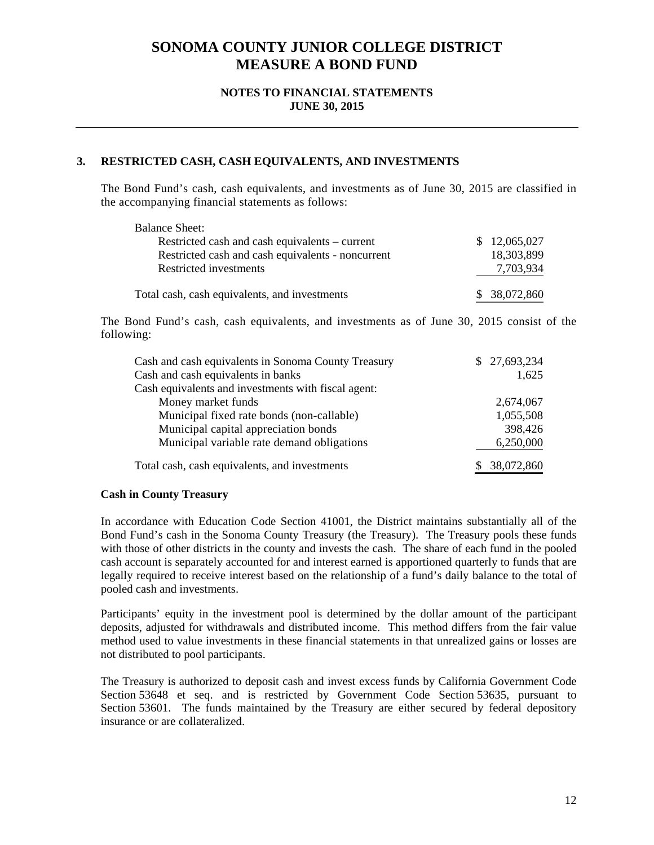#### **NOTES TO FINANCIAL STATEMENTS JUNE 30, 2015**

### **3. RESTRICTED CASH, CASH EQUIVALENTS, AND INVESTMENTS**

The Bond Fund's cash, cash equivalents, and investments as of June 30, 2015 are classified in the accompanying financial statements as follows:

| <b>Balance Sheet:</b>                             |               |
|---------------------------------------------------|---------------|
| Restricted cash and cash equivalents – current    | \$12,065,027  |
| Restricted cash and cash equivalents - noncurrent | 18,303,899    |
| Restricted investments                            | 7,703,934     |
| Total cash, cash equivalents, and investments     | \$ 38,072,860 |

The Bond Fund's cash, cash equivalents, and investments as of June 30, 2015 consist of the following:

| Cash and cash equivalents in Sonoma County Treasury |    | \$27,693,234 |
|-----------------------------------------------------|----|--------------|
| Cash and cash equivalents in banks                  |    | 1,625        |
| Cash equivalents and investments with fiscal agent: |    |              |
| Money market funds                                  |    | 2,674,067    |
| Municipal fixed rate bonds (non-callable)           |    | 1,055,508    |
| Municipal capital appreciation bonds                |    | 398,426      |
| Municipal variable rate demand obligations          |    | 6,250,000    |
| Total cash, cash equivalents, and investments       | S. | 38,072,860   |

#### **Cash in County Treasury**

In accordance with Education Code Section 41001, the District maintains substantially all of the Bond Fund's cash in the Sonoma County Treasury (the Treasury). The Treasury pools these funds with those of other districts in the county and invests the cash. The share of each fund in the pooled cash account is separately accounted for and interest earned is apportioned quarterly to funds that are legally required to receive interest based on the relationship of a fund's daily balance to the total of pooled cash and investments.

Participants' equity in the investment pool is determined by the dollar amount of the participant deposits, adjusted for withdrawals and distributed income. This method differs from the fair value method used to value investments in these financial statements in that unrealized gains or losses are not distributed to pool participants.

The Treasury is authorized to deposit cash and invest excess funds by California Government Code Section 53648 et seq. and is restricted by Government Code Section 53635, pursuant to Section 53601. The funds maintained by the Treasury are either secured by federal depository insurance or are collateralized.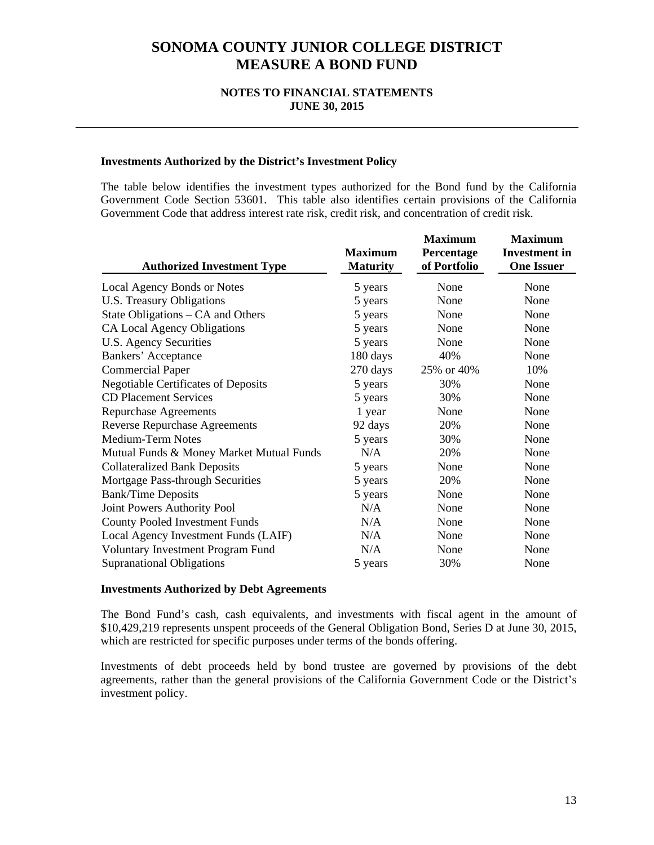#### **NOTES TO FINANCIAL STATEMENTS JUNE 30, 2015**

#### **Investments Authorized by the District's Investment Policy**

The table below identifies the investment types authorized for the Bond fund by the California Government Code Section 53601. This table also identifies certain provisions of the California Government Code that address interest rate risk, credit risk, and concentration of credit risk.

| <b>Authorized Investment Type</b>          | <b>Maximum</b><br><b>Maturity</b> | <b>Maximum</b><br>Percentage<br>of Portfolio | <b>Maximum</b><br><b>Investment</b> in<br><b>One Issuer</b> |
|--------------------------------------------|-----------------------------------|----------------------------------------------|-------------------------------------------------------------|
| Local Agency Bonds or Notes                | 5 years                           | None                                         | None                                                        |
| U.S. Treasury Obligations                  | 5 years                           | None                                         | None                                                        |
| State Obligations – CA and Others          | 5 years                           | None                                         | None                                                        |
| CA Local Agency Obligations                | 5 years                           | None                                         | None                                                        |
| U.S. Agency Securities                     | 5 years                           | None                                         | None                                                        |
| Bankers' Acceptance                        | 180 days                          | 40%                                          | None                                                        |
| <b>Commercial Paper</b>                    | 270 days                          | 25% or 40%                                   | 10%                                                         |
| <b>Negotiable Certificates of Deposits</b> | 5 years                           | 30%                                          | None                                                        |
| <b>CD Placement Services</b>               | 5 years                           | 30%                                          | None                                                        |
| <b>Repurchase Agreements</b>               | 1 year                            | None                                         | None                                                        |
| <b>Reverse Repurchase Agreements</b>       | 92 days                           | 20%                                          | None                                                        |
| <b>Medium-Term Notes</b>                   | 5 years                           | 30%                                          | None                                                        |
| Mutual Funds & Money Market Mutual Funds   | N/A                               | 20%                                          | None                                                        |
| <b>Collateralized Bank Deposits</b>        | 5 years                           | None                                         | None                                                        |
| Mortgage Pass-through Securities           | 5 years                           | 20%                                          | None                                                        |
| <b>Bank/Time Deposits</b>                  | 5 years                           | None                                         | None                                                        |
| Joint Powers Authority Pool                | N/A                               | None                                         | None                                                        |
| <b>County Pooled Investment Funds</b>      | N/A                               | None                                         | None                                                        |
| Local Agency Investment Funds (LAIF)       | N/A                               | None                                         | None                                                        |
| <b>Voluntary Investment Program Fund</b>   | N/A                               | None                                         | None                                                        |
| <b>Supranational Obligations</b>           | 5 years                           | 30%                                          | None                                                        |

#### **Investments Authorized by Debt Agreements**

The Bond Fund's cash, cash equivalents, and investments with fiscal agent in the amount of \$10,429,219 represents unspent proceeds of the General Obligation Bond, Series D at June 30, 2015, which are restricted for specific purposes under terms of the bonds offering.

Investments of debt proceeds held by bond trustee are governed by provisions of the debt agreements, rather than the general provisions of the California Government Code or the District's investment policy.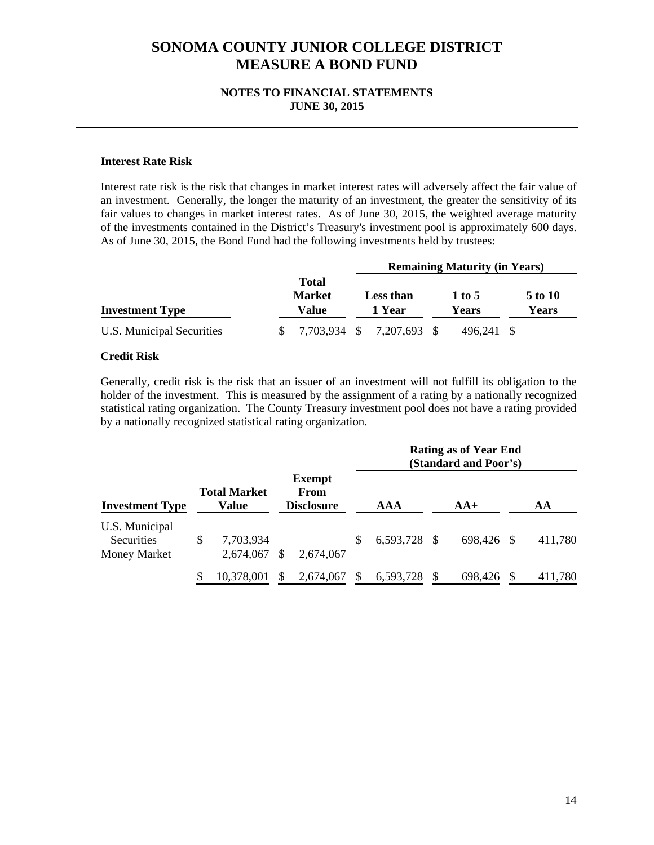#### **NOTES TO FINANCIAL STATEMENTS JUNE 30, 2015**

#### **Interest Rate Risk**

 of the investments contained in the District's Treasury's investment pool is approximately 600 days. As of June 30, 2015, the Bond Fund had the following investments held by trustees: Interest rate risk is the risk that changes in market interest rates will adversely affect the fair value of an investment. Generally, the longer the maturity of an investment, the greater the sensitivity of its fair values to changes in market interest rates. As of June 30, 2015, the weighted average maturity

|                           | <b>Remaining Maturity (in Years)</b>   |  |                     |                               |                 |            |                         |  |
|---------------------------|----------------------------------------|--|---------------------|-------------------------------|-----------------|------------|-------------------------|--|
| <b>Investment Type</b>    | <b>Total</b><br><b>Market</b><br>Value |  | Less than<br>1 Year |                               | 1 to 5<br>Years |            | 5 to 10<br><b>Years</b> |  |
| U.S. Municipal Securities |                                        |  |                     | $$7,703,934$ $$7,207,693$ $$$ |                 | 496.241 \$ |                         |  |

#### **Credit Risk**

Generally, credit risk is the risk that an issuer of an investment will not fulfill its obligation to the holder of the investment. This is measured by the assignment of a rating by a nationally recognized statistical rating organization. The County Treasury investment pool does not have a rating provided by a nationally recognized statistical rating organization.

| <b>Investment Type</b><br>U.S. Municipal<br>Securities |                              |                         |                                            |                        |     |              |       | <b>Rating as of Year End</b><br>(Standard and Poor's) |    |         |
|--------------------------------------------------------|------------------------------|-------------------------|--------------------------------------------|------------------------|-----|--------------|-------|-------------------------------------------------------|----|---------|
|                                                        | <b>Total Market</b><br>Value |                         | <b>Exempt</b><br>From<br><b>Disclosure</b> |                        | AAA |              | $AA+$ |                                                       | AA |         |
|                                                        |                              | 7,703,934               |                                            |                        | \$  | 6,593,728 \$ |       | 698,426 \$                                            |    | 411,780 |
| <b>Money Market</b>                                    |                              | 2,674,067<br>10,378,001 |                                            | 2,674,067<br>2,674,067 |     | 6,593,728    |       | 698.426                                               | -S | 411,780 |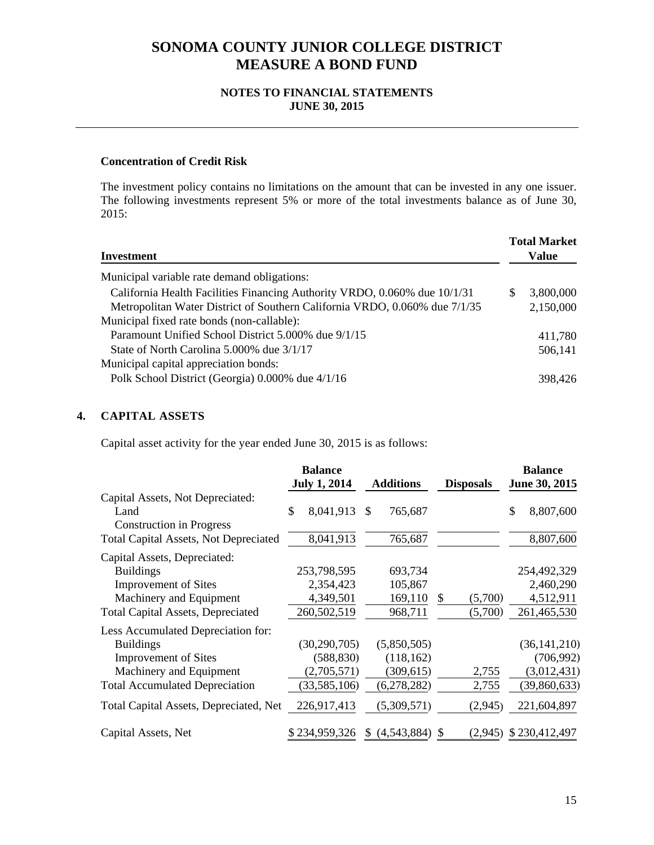### **NOTES TO FINANCIAL STATEMENTS JUNE 30, 2015**

### **Concentration of Credit Risk**

The investment policy contains no limitations on the amount that can be invested in any one issuer. The following investments represent 5% or more of the total investments balance as of June 30, 2015:

| <b>Investment</b>                                                          |   | <b>Total Market</b><br><b>Value</b> |
|----------------------------------------------------------------------------|---|-------------------------------------|
| Municipal variable rate demand obligations:                                |   |                                     |
| California Health Facilities Financing Authority VRDO, 0.060% due 10/1/31  | S | 3,800,000                           |
| Metropolitan Water District of Southern California VRDO, 0.060% due 7/1/35 |   | 2,150,000                           |
| Municipal fixed rate bonds (non-callable):                                 |   |                                     |
| Paramount Unified School District 5,000% due 9/1/15                        |   | 411,780                             |
| State of North Carolina 5.000% due 3/1/17                                  |   | 506,141                             |
| Municipal capital appreciation bonds:                                      |   |                                     |
| Polk School District (Georgia) 0.000% due 4/1/16                           |   | 398.426                             |

### **4. CAPITAL ASSETS**

Capital asset activity for the year ended June 30, 2015 is as follows:

|                                              | <b>Balance</b>      |                          |                  | <b>Balance</b>  |
|----------------------------------------------|---------------------|--------------------------|------------------|-----------------|
|                                              | <b>July 1, 2014</b> | <b>Additions</b>         | <b>Disposals</b> | June 30, 2015   |
| Capital Assets, Not Depreciated:             |                     |                          |                  |                 |
| Land                                         | 8,041,913<br>\$     | <sup>\$</sup><br>765,687 |                  | \$<br>8,807,600 |
| <b>Construction in Progress</b>              |                     |                          |                  |                 |
| <b>Total Capital Assets, Not Depreciated</b> | 8,041,913           | 765,687                  |                  | 8,807,600       |
| Capital Assets, Depreciated:                 |                     |                          |                  |                 |
| <b>Buildings</b>                             | 253,798,595         | 693,734                  |                  | 254,492,329     |
| <b>Improvement of Sites</b>                  | 2,354,423           | 105,867                  |                  | 2,460,290       |
| Machinery and Equipment                      | 4,349,501           | 169,110                  | (5,700)<br>\$.   | 4,512,911       |
| <b>Total Capital Assets, Depreciated</b>     | 260,502,519         | 968,711                  | (5,700)          | 261,465,530     |
| Less Accumulated Depreciation for:           |                     |                          |                  |                 |
| <b>Buildings</b>                             | (30, 290, 705)      | (5,850,505)              |                  | (36, 141, 210)  |
| <b>Improvement of Sites</b>                  | (588, 830)          | (118, 162)               |                  | (706, 992)      |
| Machinery and Equipment                      | (2,705,571)         | (309, 615)               | 2,755            | (3,012,431)     |
| <b>Total Accumulated Depreciation</b>        | (33, 585, 106)      | (6,278,282)              | 2,755            | (39,860,633)    |
| Total Capital Assets, Depreciated, Net       | 226,917,413         | (5,309,571)              | (2,945)          | 221,604,897     |
| Capital Assets, Net                          | \$234,959,326       | (4,543,884)<br>\$.       | (2,945)          | \$230,412,497   |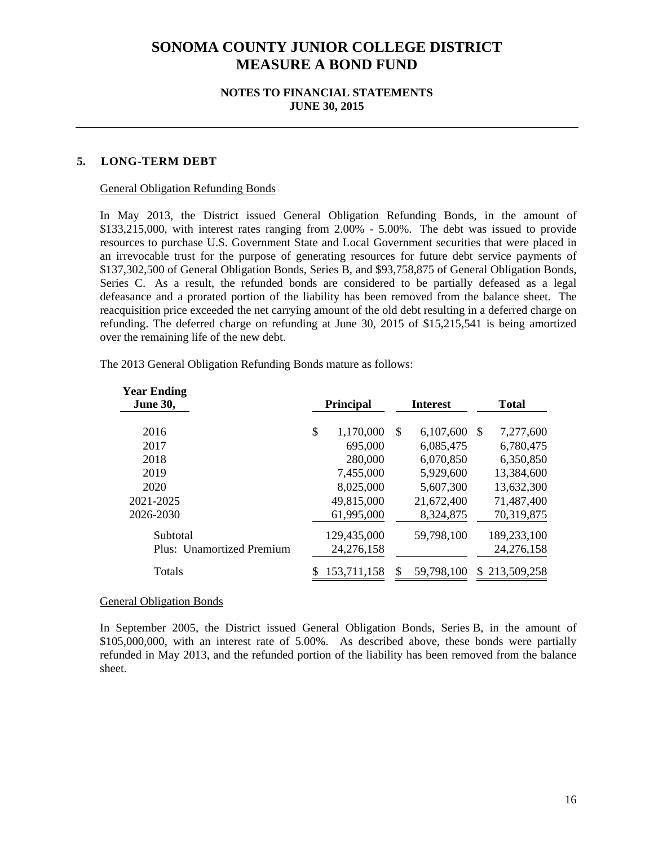#### **NOTES TO FINANCIAL STATEMENTS JUNE 30, 2015**

### **5. LONG-TERM DEBT**

#### General Obligation Refunding Bonds

In May 2013, the District issued General Obligation Refunding Bonds, in the amount of \$133,215,000, with interest rates ranging from 2.00% - 5.00%. The debt was issued to provide resources to purchase U.S. Government State and Local Government securities that were placed in an irrevocable trust for the purpose of generating resources for future debt service payments of \$137,302,500 of General Obligation Bonds, Series B, and \$93,758,875 of General Obligation Bonds, Series C. As a result, the refunded bonds are considered to be partially defeased as a legal defeasance and a prorated portion of the liability has been removed from the balance sheet. The reacquisition price exceeded the net carrying amount of the old debt resulting in a deferred charge on refunding. The deferred charge on refunding at June 30, 2015 of \$15,215,541 is being amortized over the remaining life of the new debt.

| <b>Year Ending</b><br><b>June 30,</b> | <b>Principal</b> |    | <b>Interest</b> |    | <b>Total</b> |
|---------------------------------------|------------------|----|-----------------|----|--------------|
| 2016                                  | \$<br>1,170,000  | \$ | 6,107,600       | -S | 7,277,600    |
| 2017                                  | 695,000          |    | 6,085,475       |    | 6,780,475    |
| 2018                                  | 280,000          |    | 6,070,850       |    | 6,350,850    |
| 2019                                  | 7,455,000        |    | 5,929,600       |    | 13,384,600   |
| 2020                                  | 8,025,000        |    | 5,607,300       |    | 13,632,300   |
| 2021-2025                             | 49,815,000       |    | 21,672,400      |    | 71,487,400   |
| 2026-2030                             | 61,995,000       |    | 8,324,875       |    | 70,319,875   |
| Subtotal                              | 129,435,000      |    | 59,798,100      |    | 189,233,100  |
| <b>Plus:</b> Unamortized Premium      | 24,276,158       |    |                 |    | 24,276,158   |
| <b>Totals</b>                         | 153,711,158      | S  | 59,798,100      | S. | 213,509,258  |

The 2013 General Obligation Refunding Bonds mature as follows:

#### General Obligation Bonds

In September 2005, the District issued General Obligation Bonds, Series B, in the amount of \$105,000,000, with an interest rate of 5.00%. As described above, these bonds were partially refunded in May 2013, and the refunded portion of the liability has been removed from the balance sheet.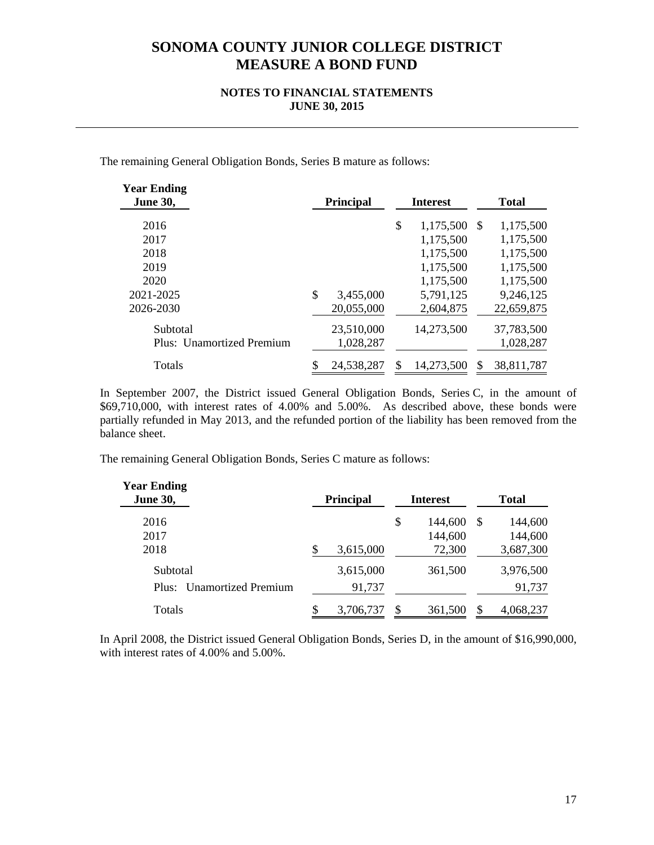#### **NOTES TO FINANCIAL STATEMENTS JUNE 30, 2015**

The remaining General Obligation Bonds, Series B mature as follows:

| <b>Year Ending</b><br><b>June 30,</b> |    | <b>Principal</b> |    | <b>Interest</b> | <b>Total</b> |            |  |
|---------------------------------------|----|------------------|----|-----------------|--------------|------------|--|
| 2016                                  |    |                  | \$ | 1,175,500       | \$.          | 1,175,500  |  |
| 2017                                  |    |                  |    | 1,175,500       |              | 1,175,500  |  |
| 2018                                  |    |                  |    | 1,175,500       |              | 1,175,500  |  |
| 2019                                  |    |                  |    | 1,175,500       |              | 1,175,500  |  |
| 2020                                  |    |                  |    | 1,175,500       |              | 1,175,500  |  |
| 2021-2025                             | \$ | 3,455,000        |    | 5,791,125       |              | 9,246,125  |  |
| 2026-2030                             |    | 20,055,000       |    | 2,604,875       |              | 22,659,875 |  |
| Subtotal                              |    | 23,510,000       |    | 14,273,500      |              | 37,783,500 |  |
| Plus: Unamortized Premium             |    | 1,028,287        |    |                 |              | 1,028,287  |  |
| Totals                                |    | 24,538,287       | \$ | 14,273,500      | S            | 38,811,787 |  |

In September 2007, the District issued General Obligation Bonds, Series C, in the amount of \$69,710,000, with interest rates of 4.00% and 5.00%. As described above, these bonds were partially refunded in May 2013, and the refunded portion of the liability has been removed from the balance sheet.

The remaining General Obligation Bonds, Series C mature as follows:

| <b>Year Ending</b><br><b>June 30,</b>           | <b>Principal</b>    | Interest                           |               | Total                           |
|-------------------------------------------------|---------------------|------------------------------------|---------------|---------------------------------|
| 2016<br>2017<br>2018                            | 3,615,000           | \$<br>144,600<br>144,600<br>72,300 | <sup>\$</sup> | 144,600<br>144,600<br>3,687,300 |
| Subtotal<br><b>Unamortized Premium</b><br>Plus: | 3,615,000<br>91,737 | 361,500                            |               | 3,976,500<br>91,737             |
| Totals                                          | 3,706,737           | \$<br>361,500                      | S             | 4,068,237                       |

with interest rates of 4.00% and 5.00%. In April 2008, the District issued General Obligation Bonds, Series D, in the amount of \$16,990,000, with interest rates of 4.00% and 5.00%.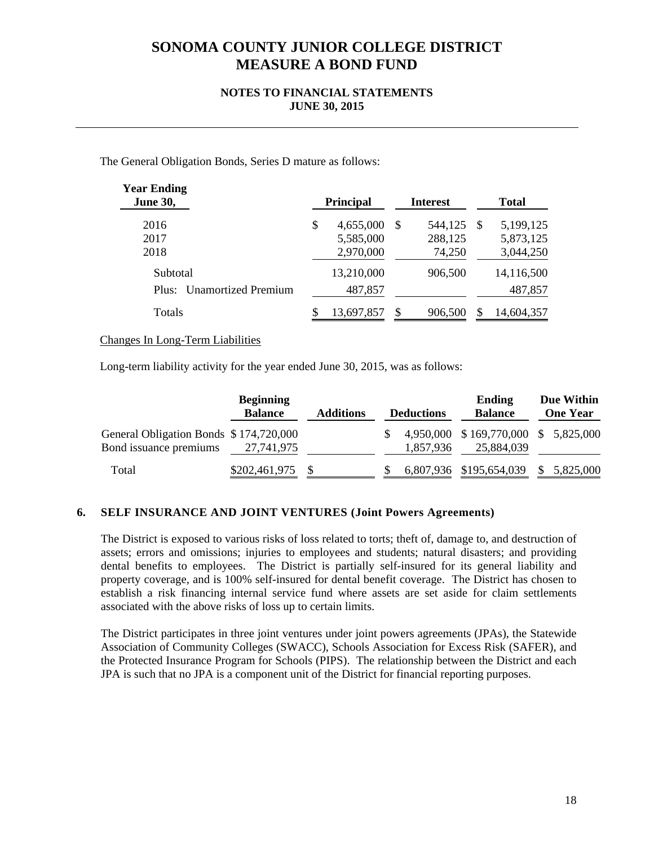### **NOTES TO FINANCIAL STATEMENTS JUNE 30, 2015**

The General Obligation Bonds, Series D mature as follows:

| <b>Year Ending</b><br><b>June 30,</b> | <b>Principal</b> |    | <b>Interest</b> |    | Total      |
|---------------------------------------|------------------|----|-----------------|----|------------|
| 2016                                  | \$<br>4,655,000  | -S | 544,125         | -S | 5,199,125  |
| 2017                                  | 5,585,000        |    | 288,125         |    | 5,873,125  |
| 2018                                  | 2,970,000        |    | 74,250          |    | 3,044,250  |
| Subtotal                              | 13,210,000       |    | 906,500         |    | 14,116,500 |
| Plus: Unamortized Premium             | 487,857          |    |                 |    | 487,857    |
| Totals                                | 13,697,857       | \$ | 906,500         |    | 14,604,357 |

### Changes In Long-Term Liabilities

Long-term liability activity for the year ended June 30, 2015, was as follows:

|                                                                  | <b>Beginning</b><br><b>Balance</b> | <b>Additions</b> | <b>Deductions</b> | Ending<br><b>Balance</b>                          | Due Within<br><b>One Year</b> |
|------------------------------------------------------------------|------------------------------------|------------------|-------------------|---------------------------------------------------|-------------------------------|
| General Obligation Bonds \$174,720,000<br>Bond issuance premiums | 27,741,975                         |                  | 1.857.936         | 4,950,000 \$169,770,000 \$5,825,000<br>25,884,039 |                               |
| Total                                                            | \$202,461,975                      |                  |                   | 6,807,936 \$195,654,039                           | 5,825,000                     |

### **6. SELF INSURANCE AND JOINT VENTURES (Joint Powers Agreements)**

The District is exposed to various risks of loss related to torts; theft of, damage to, and destruction of assets; errors and omissions; injuries to employees and students; natural disasters; and providing dental benefits to employees. The District is partially self-insured for its general liability and property coverage, and is 100% self-insured for dental benefit coverage. The District has chosen to establish a risk financing internal service fund where assets are set aside for claim settlements associated with the above risks of loss up to certain limits.

The District participates in three joint ventures under joint powers agreements (JPAs), the Statewide Association of Community Colleges (SWACC), Schools Association for Excess Risk (SAFER), and the Protected Insurance Program for Schools (PIPS). The relationship between the District and each JPA is such that no JPA is a component unit of the District for financial reporting purposes.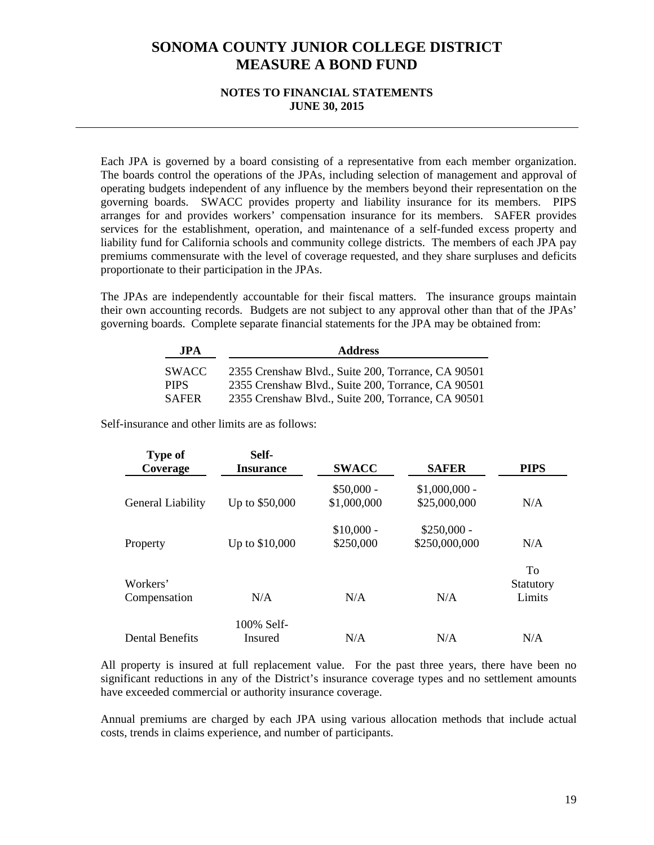#### **NOTES TO FINANCIAL STATEMENTS JUNE 30, 2015**

Each JPA is governed by a board consisting of a representative from each member organization. The boards control the operations of the JPAs, including selection of management and approval of operating budgets independent of any influence by the members beyond their representation on the governing boards. SWACC provides property and liability insurance for its members. PIPS arranges for and provides workers' compensation insurance for its members. SAFER provides services for the establishment, operation, and maintenance of a self-funded excess property and liability fund for California schools and community college districts. The members of each JPA pay premiums commensurate with the level of coverage requested, and they share surpluses and deficits proportionate to their participation in the JPAs.

The JPAs are independently accountable for their fiscal matters. The insurance groups maintain their own accounting records. Budgets are not subject to any approval other than that of the JPAs' governing boards. Complete separate financial statements for the JPA may be obtained from:

| <b>JPA</b>   | <b>Address</b>                                     |
|--------------|----------------------------------------------------|
| <b>SWACC</b> | 2355 Crenshaw Blvd., Suite 200, Torrance, CA 90501 |
| <b>PIPS</b>  | 2355 Crenshaw Blvd., Suite 200, Torrance, CA 90501 |
| <b>SAFER</b> | 2355 Crenshaw Blvd., Suite 200, Torrance, CA 90501 |

Self-insurance and other limits are as follows:

| <b>Type of</b><br>Coverage | Self-<br><b>Insurance</b> | <b>SWACC</b>               | <b>SAFER</b>                   | <b>PIPS</b>               |  |
|----------------------------|---------------------------|----------------------------|--------------------------------|---------------------------|--|
| General Liability          | Up to \$50,000            | $$50,000 -$<br>\$1,000,000 | $$1,000,000$ -<br>\$25,000,000 | N/A                       |  |
| Property                   | Up to \$10,000            | $$10,000 -$<br>\$250,000   | $$250,000 -$<br>\$250,000,000  | N/A                       |  |
| Workers'<br>Compensation   | N/A                       | N/A                        | N/A                            | To<br>Statutory<br>Limits |  |
| <b>Dental Benefits</b>     | 100% Self-<br>Insured     | N/A                        | N/A                            | N/A                       |  |

All property is insured at full replacement value. For the past three years, there have been no significant reductions in any of the District's insurance coverage types and no settlement amounts have exceeded commercial or authority insurance coverage.

Annual premiums are charged by each JPA using various allocation methods that include actual costs, trends in claims experience, and number of participants.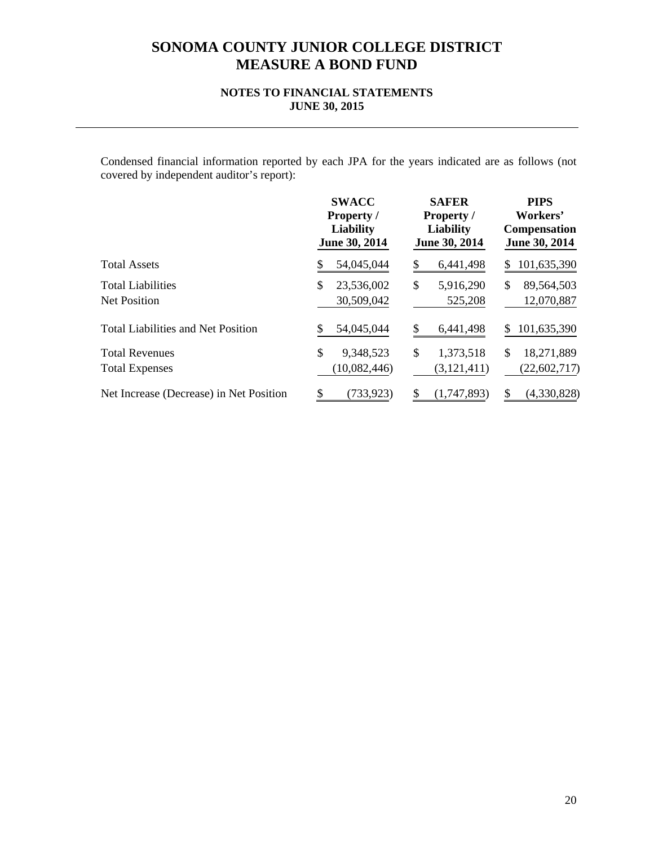### **NOTES TO FINANCIAL STATEMENTS JUNE 30, 2015**

Condensed financial information reported by each JPA for the years indicated are as follows (not covered by independent auditor's report):

|                                                 | <b>SWACC</b><br><b>Property</b> /<br><b>Liability</b><br>June 30, 2014 | <b>SAFER</b><br><b>Property</b> /<br><b>Liability</b><br>June 30, 2014 | <b>PIPS</b><br>Workers'<br><b>Compensation</b><br>June 30, 2014 |  |  |
|-------------------------------------------------|------------------------------------------------------------------------|------------------------------------------------------------------------|-----------------------------------------------------------------|--|--|
| <b>Total Assets</b>                             | 54,045,044                                                             | 6,441,498<br>\$                                                        | 101,635,390<br>S.                                               |  |  |
| <b>Total Liabilities</b><br><b>Net Position</b> | \$<br>23,536,002<br>30,509,042                                         | \$<br>5,916,290<br>525,208                                             | \$<br>89,564,503<br>12,070,887                                  |  |  |
| <b>Total Liabilities and Net Position</b>       | 54,045,044                                                             | 6,441,498                                                              | 101,635,390<br>\$.                                              |  |  |
| <b>Total Revenues</b><br><b>Total Expenses</b>  | \$<br>9,348,523<br>(10,082,446)                                        | \$<br>1,373,518<br>(3, 121, 411)                                       | 18,271,889<br>\$<br>(22, 602, 717)                              |  |  |
| Net Increase (Decrease) in Net Position         | \$<br>(733, 923)                                                       | (1,747,893)<br>S                                                       | (4,330,828)<br>S                                                |  |  |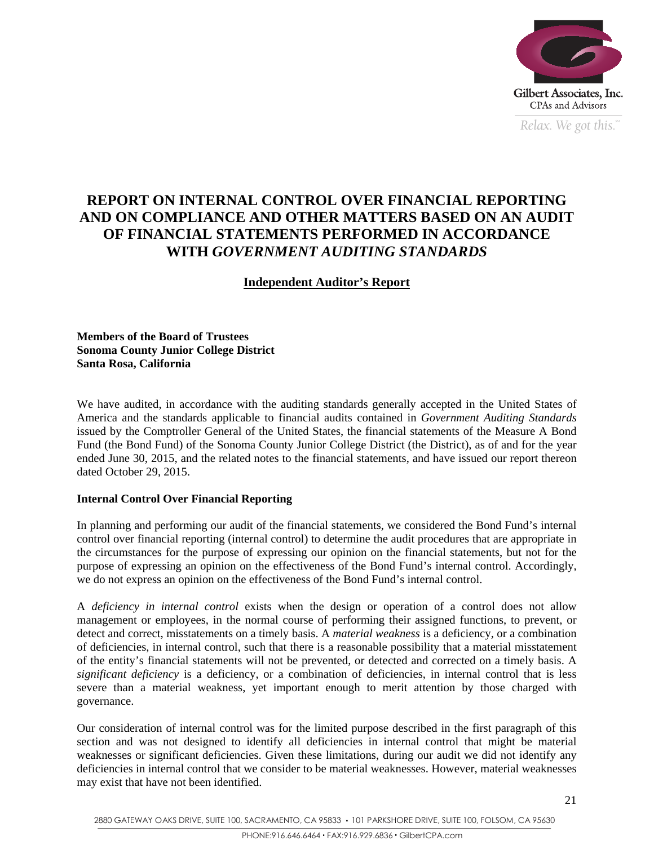

*Relax. We got this.*  $\degree$ 

# **REPORT ON INTERNAL CONTROL OVER FINANCIAL REPORTING AND ON COMPLIANCE AND OTHER MATTERS BASED ON AN AUDIT OF FINANCIAL STATEMENTS PERFORMED IN ACCORDANCE WITH** *GOVERNMENT AUDITING STANDARDS*

### **Independent Auditor's Report**

**Members of the Board of Trustees Sonoma County Junior College District Santa Rosa, California** 

We have audited, in accordance with the auditing standards generally accepted in the United States of America and the standards applicable to financial audits contained in *Government Auditing Standards*  issued by the Comptroller General of the United States, the financial statements of the Measure A Bond Fund (the Bond Fund) of the Sonoma County Junior College District (the District), as of and for the year ended June 30, 2015, and the related notes to the financial statements, and have issued our report thereon dated October 29, 2015.

### **Internal Control Over Financial Reporting**

In planning and performing our audit of the financial statements, we considered the Bond Fund's internal control over financial reporting (internal control) to determine the audit procedures that are appropriate in the circumstances for the purpose of expressing our opinion on the financial statements, but not for the purpose of expressing an opinion on the effectiveness of the Bond Fund's internal control. Accordingly, we do not express an opinion on the effectiveness of the Bond Fund's internal control.

A *deficiency in internal control* exists when the design or operation of a control does not allow management or employees, in the normal course of performing their assigned functions, to prevent, or detect and correct, misstatements on a timely basis. A *material weakness* is a deficiency, or a combination of deficiencies, in internal control, such that there is a reasonable possibility that a material misstatement of the entity's financial statements will not be prevented, or detected and corrected on a timely basis. A *significant deficiency* is a deficiency, or a combination of deficiencies, in internal control that is less severe than a material weakness, yet important enough to merit attention by those charged with governance.

Our consideration of internal control was for the limited purpose described in the first paragraph of this section and was not designed to identify all deficiencies in internal control that might be material weaknesses or significant deficiencies. Given these limitations, during our audit we did not identify any deficiencies in internal control that we consider to be material weaknesses. However, material weaknesses may exist that have not been identified.